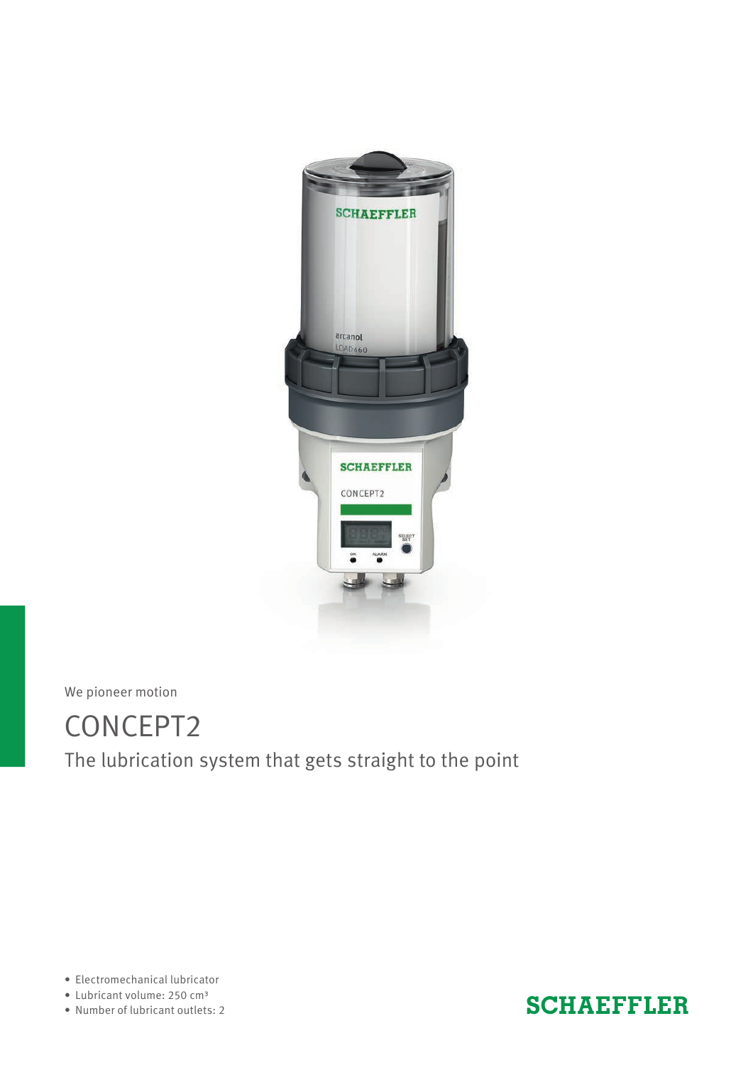

We pioneer motion

## CONCEPT2 The lubrication system that gets straight to the point

• Electromechanical lubricator

• Lubricant volume: 250 cm3

• Number of lubricant outlets: 2

### **SCHAEFFLER**